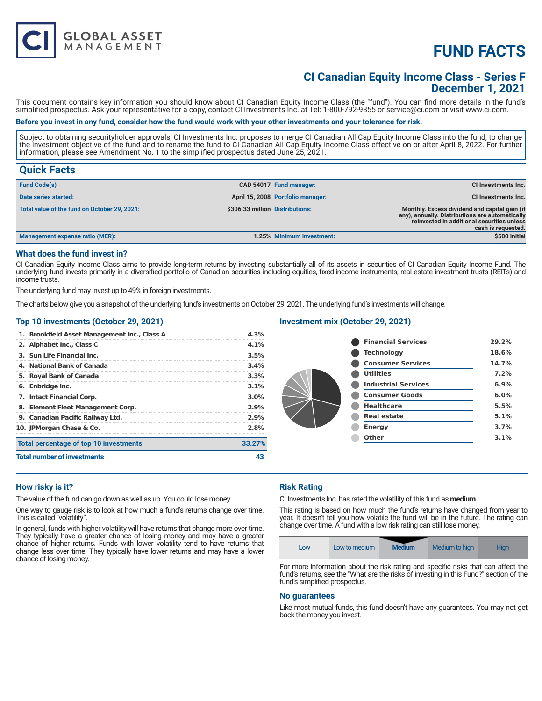# **FUND FACTS**

# **CI Canadian Equity Income Class - Series F December 1, 2021**

This document contains key information you should know about CI Canadian Equity Income Class (the "fund"). You can find more details in the fund's simplified prospectus. Ask your representative for a copy, contact CI Investments Inc. at Tel: 1-800-792-9355 or service@ci.com or visit www.ci.com.

#### **Before you invest in any fund, consider how the fund would work with your other investments and your tolerance for risk.**

Subject to obtaining securityholder approvals, CI Investments Inc. proposes to merge CI Canadian All Cap Equity Income Class into the fund, to change the investment objective of the fund and to rename the fund to CI Canadian All Cap Equity Income Class effective on or after April 8, 2022. For further information, please see Amendment No. 1 to the simplified prospectus dated June 25, 2021.

# **Quick Facts**

| <b>Fund Code(s)</b>                          |                                 | CAD 54017 Fund manager:           | CI Investments Inc.                                                                                                                                                  |
|----------------------------------------------|---------------------------------|-----------------------------------|----------------------------------------------------------------------------------------------------------------------------------------------------------------------|
| Date series started:                         |                                 | April 15, 2008 Portfolio manager: | <b>CI Investments Inc.</b>                                                                                                                                           |
| Total value of the fund on October 29, 2021: | \$306.33 million Distributions: |                                   | Monthly. Excess dividend and capital gain (if<br>any), annually. Distributions are automatically<br>reinvested in additional securities unless<br>cash is requested. |
| Management expense ratio (MER):              |                                 | 1.25% Minimum investment:         | \$500 initial                                                                                                                                                        |

#### **What does the fund invest in?**

CI Canadian Equity Income Class aims to provide long-term returns by investing substantially all of its assets in securities of CI Canadian Equity Income Fund. The underlying fund invests primarily in a diversified portfolio of Canadian securities including equities, fixed-income instruments, real estate investment trusts (REITs) and income trusts.

The underlying fund may invest up to 49% in foreign investments.

**GLOBAL ASSET**<br>MANAGEMENT

The charts below give you a snapshot of the underlying fund's investments on October 29, 2021. The underlying fund's investments will change.

#### **Top 10 investments (October 29, 2021)**

| 1. Brookfield Asset Management Inc., Class A | 4.3%    |
|----------------------------------------------|---------|
| 2. Alphabet Inc., Class C                    | $4.1\%$ |
| 3. Sun Life Financial Inc.                   | 3.5%    |
| 4. National Bank of Canada                   | 3.4%    |
| 5. Royal Bank of Canada                      | 3.3%    |
| 6. Enbridge Inc.                             | 3.1%    |
| <b>7. Intact Financial Corp.</b>             | $3.0\%$ |
| 8. Element Fleet Management Corp.            | 2.9%    |
| 9. Canadian Pacific Railway Ltd.             | 2.9%    |
| 10. JPMorgan Chase & Co.                     | 2.8%    |
| Total percentage of top 10 investments       | 33.27%  |
| <b>Total number of investments</b>           |         |

# **Investment mix (October 29, 2021)**

| <b>Financial Services</b>  | 29.2% |
|----------------------------|-------|
| <b>Technology</b>          | 18.6% |
| <b>Consumer Services</b>   | 14.7% |
| <b>Utilities</b>           | 7.2%  |
| <b>Industrial Services</b> | 6.9%  |
| <b>Consumer Goods</b>      | 6.0%  |
| <b>Healthcare</b>          | 5.5%  |
| <b>Real estate</b>         | 5.1%  |
| <b>Energy</b>              | 3.7%  |
| Other                      | 3.1%  |
|                            |       |

#### **How risky is it?**

The value of the fund can go down as well as up. You could lose money.

One way to gauge risk is to look at how much a fund's returns change over time. This is called "volatility".

In general, funds with higher volatility will have returns that change more over time. They typically have a greater chance of losing money and may have a greater chance of higher returns. Funds with lower volatility tend to have returns that change less over time. They typically have lower returns and may have a lower chance of losing money.

# **Risk Rating**

CI Investments Inc. has rated the volatility of this fund as **medium**.

This rating is based on how much the fund's returns have changed from year to year. It doesn't tell you how volatile the fund will be in the future. The rating can change over time. A fund with a low risk rating can still lose money.



For more information about the risk rating and specific risks that can affect the fund's returns, see the "What are the risks of investing in this Fund?" section of the fund's simplified prospectus.

#### **No guarantees**

Like most mutual funds, this fund doesn't have any guarantees. You may not get back the money you invest.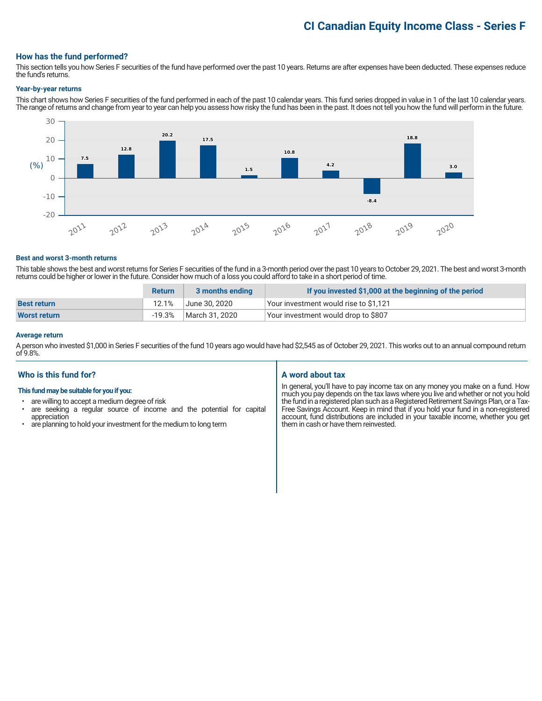# **CI Canadian Equity Income Class - Series F**

#### **How has the fund performed?**

This section tells you how Series F securities of the fund have performed over the past 10 years. Returns are after expenses have been deducted. These expenses reduce the fund's returns.

#### **Year-by-year returns**

This chart shows how Series F securities of the fund performed in each of the past 10 calendar years. This fund series dropped in value in 1 of the last 10 calendar years. The range of returns and change from year to year can help you assess how risky the fund has been in the past. It does not tell you how the fund will perform in the future.



#### **Best and worst 3-month returns**

This table shows the best and worst returns for Series F securities of the fund in a 3-month period over the past 10 years to October 29, 2021. The best and worst 3-month returns could be higher or lower in the future. Consider how much of a loss you could afford to take in a short period of time.

|                     | <b>Return</b> | 3 months ending | If you invested \$1,000 at the beginning of the period |
|---------------------|---------------|-----------------|--------------------------------------------------------|
| <b>Best return</b>  | 12.1%         | June 30. 2020   | Your investment would rise to \$1,121                  |
| <b>Worst return</b> | $-19.3\%$     | March 31, 2020  | Your investment would drop to \$807                    |

#### **Average return**

A person who invested \$1,000 in Series F securities of the fund 10 years ago would have had \$2,545 as of October 29, 2021. This works out to an annual compound return of 9.8%.

#### **Who is this fund for?**

#### **This fund may be suitable for you if you:**

- are willing to accept a medium degree of risk
- are seeking a regular source of income and the potential for capital appreciation
- are planning to hold your investment for the medium to long term

#### **A word about tax**

In general, you'll have to pay income tax on any money you make on a fund. How much you pay depends on the tax laws where you live and whether or not you hold the fund in a registered plan such as a Registered Retirement Savings Plan, or a Tax-Free Savings Account. Keep in mind that if you hold your fund in a non-registered account, fund distributions are included in your taxable income, whether you get them in cash or have them reinvested.